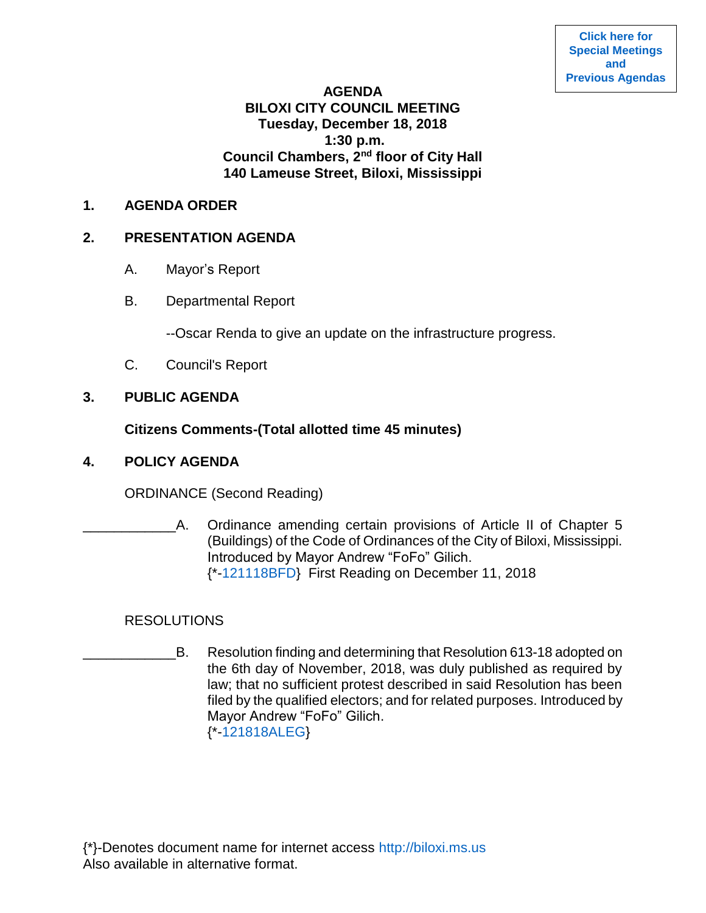#### **AGENDA**

# **BILOXI CITY COUNCIL MEETING Tuesday, December 18, 2018 1:30 p.m. Council Chambers, 2nd floor of City Hall 140 Lameuse Street, Biloxi, Mississippi**

#### **1. AGENDA ORDER**

#### **2. PRESENTATION AGENDA**

- A. Mayor's Report
- B. Departmental Report

--Oscar Renda to give an update on the infrastructure progress.

C. Council's Report

## **3. PUBLIC AGENDA**

## **Citizens Comments-(Total allotted time 45 minutes)**

#### **4. POLICY AGENDA**

ORDINANCE (Second Reading)

A. Ordinance amending certain provisions of Article II of Chapter 5 (Buildings) of the Code of Ordinances of the City of Biloxi, Mississippi. Introduced by Mayor Andrew "FoFo" Gilich. {\*[-121118BFD}](https://www.biloxi.ms.us/agendas/citycouncil/2018/121818/121118bfd.pdf) First Reading on December 11, 2018

# RESOLUTIONS

B. Resolution finding and determining that Resolution 613-18 adopted on the 6th day of November, 2018, was duly published as required by law; that no sufficient protest described in said Resolution has been filed by the qualified electors; and for related purposes. Introduced by Mayor Andrew "FoFo" Gilich. {\*[-121818ALEG}](https://www.biloxi.ms.us/agendas/citycouncil/2018/121818/121818aleg.pdf)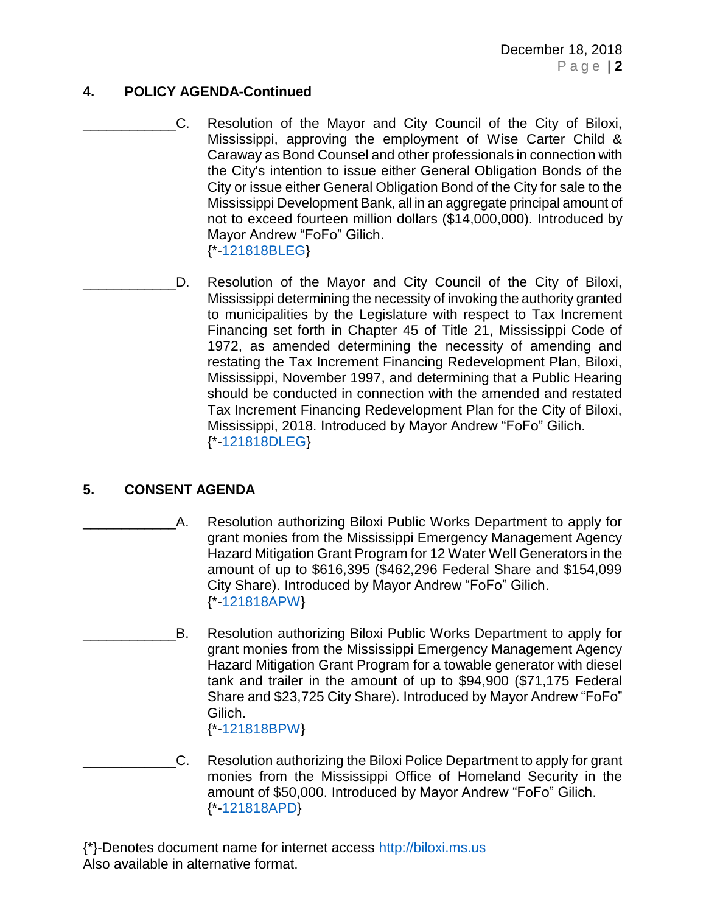## **4. POLICY AGENDA-Continued**

- C. Resolution of the Mayor and City Council of the City of Biloxi, Mississippi, approving the employment of Wise Carter Child & Caraway as Bond Counsel and other professionals in connection with the City's intention to issue either General Obligation Bonds of the City or issue either General Obligation Bond of the City for sale to the Mississippi Development Bank, all in an aggregate principal amount of not to exceed fourteen million dollars (\$14,000,000). Introduced by Mayor Andrew "FoFo" Gilich. {\*[-121818BLEG}](https://www.biloxi.ms.us/agendas/citycouncil/2018/121818/121818bleg.pdf)
- D. Resolution of the Mayor and City Council of the City of Biloxi, Mississippi determining the necessity of invoking the authority granted to municipalities by the Legislature with respect to Tax Increment Financing set forth in Chapter 45 of Title 21, Mississippi Code of 1972, as amended determining the necessity of amending and restating the Tax Increment Financing Redevelopment Plan, Biloxi, Mississippi, November 1997, and determining that a Public Hearing should be conducted in connection with the amended and restated Tax Increment Financing Redevelopment Plan for the City of Biloxi, Mississippi, 2018. Introduced by Mayor Andrew "FoFo" Gilich. {\*[-121818DLEG}](https://www.biloxi.ms.us/agendas/citycouncil/2018/121818/121818dleg.pdf)

# **5. CONSENT AGENDA**

- A. Resolution authorizing Biloxi Public Works Department to apply for grant monies from the Mississippi Emergency Management Agency Hazard Mitigation Grant Program for 12 Water Well Generators in the amount of up to \$616,395 (\$462,296 Federal Share and \$154,099 City Share). Introduced by Mayor Andrew "FoFo" Gilich. {\*[-121818APW}](https://www.biloxi.ms.us/agendas/citycouncil/2018/121818/121818apw.pdf)
- B. Resolution authorizing Biloxi Public Works Department to apply for grant monies from the Mississippi Emergency Management Agency Hazard Mitigation Grant Program for a towable generator with diesel tank and trailer in the amount of up to \$94,900 (\$71,175 Federal Share and \$23,725 City Share). Introduced by Mayor Andrew "FoFo" Gilich. {\*[-121818BPW}](https://www.biloxi.ms.us/agendas/citycouncil/2018/121818/121818bpw.pdf)
- \_\_\_\_\_\_\_\_\_\_\_\_C. Resolution authorizing the Biloxi Police Department to apply for grant monies from the Mississippi Office of Homeland Security in the amount of \$50,000. Introduced by Mayor Andrew "FoFo" Gilich. {\*[-121818APD}](https://www.biloxi.ms.us/agendas/citycouncil/2018/121818/121818apd.pdf)

{\*}-Denotes document name for internet access [http://biloxi.ms.us](http://biloxi.ms.us/) Also available in alternative format.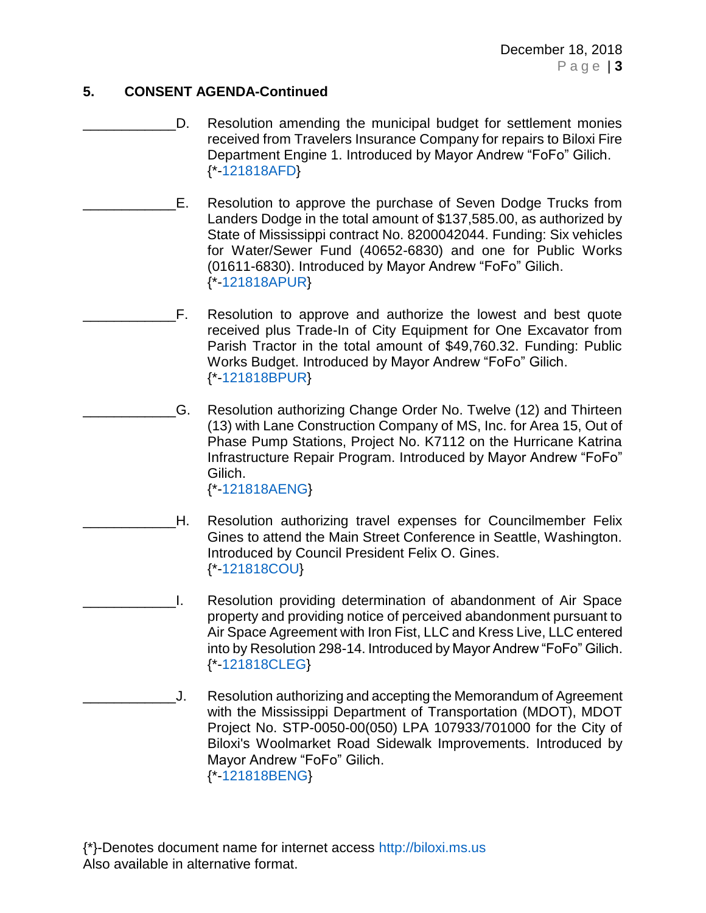# **5. CONSENT AGENDA-Continued**

- D. Resolution amending the municipal budget for settlement monies received from Travelers Insurance Company for repairs to Biloxi Fire Department Engine 1. Introduced by Mayor Andrew "FoFo" Gilich. {\*[-121818AFD}](https://www.biloxi.ms.us/agendas/citycouncil/2018/121818/121818afd.pdf)
- E. Resolution to approve the purchase of Seven Dodge Trucks from Landers Dodge in the total amount of \$137,585.00, as authorized by State of Mississippi contract No. 8200042044. Funding: Six vehicles for Water/Sewer Fund (40652-6830) and one for Public Works (01611-6830). Introduced by Mayor Andrew "FoFo" Gilich. {\*[-121818APUR}](https://www.biloxi.ms.us/agendas/citycouncil/2018/121818/121818apur.pdf)
	- \_\_\_\_\_\_\_\_\_\_\_\_F. Resolution to approve and authorize the lowest and best quote received plus Trade-In of City Equipment for One Excavator from Parish Tractor in the total amount of \$49,760.32. Funding: Public Works Budget. Introduced by Mayor Andrew "FoFo" Gilich. {\*[-121818BPUR}](https://www.biloxi.ms.us/agendas/citycouncil/2018/121818/121818bpur.pdf)
	- \_\_\_\_\_\_\_\_\_\_\_\_G. Resolution authorizing Change Order No. Twelve (12) and Thirteen (13) with Lane Construction Company of MS, Inc. for Area 15, Out of Phase Pump Stations, Project No. K7112 on the Hurricane Katrina Infrastructure Repair Program. Introduced by Mayor Andrew "FoFo" Gilich. {\*[-121818AENG}](https://www.biloxi.ms.us/agendas/citycouncil/2018/121818/121818aeng.pdf)
- \_\_\_\_\_\_\_\_\_\_\_\_H. Resolution authorizing travel expenses for Councilmember Felix Gines to attend the Main Street Conference in Seattle, Washington. Introduced by Council President Felix O. Gines. {\*[-121818COU}](https://www.biloxi.ms.us/agendas/citycouncil/2018/121818/121818cou.pdf)
- \_\_\_\_\_\_\_\_\_\_\_\_I. Resolution providing determination of abandonment of Air Space property and providing notice of perceived abandonment pursuant to Air Space Agreement with Iron Fist, LLC and Kress Live, LLC entered into by Resolution 298-14. Introduced by Mayor Andrew "FoFo" Gilich. {\*[-121818CLEG}](https://www.biloxi.ms.us/agendas/citycouncil/2018/121818/121818cleg.pdf)
- \_\_\_\_\_\_\_\_\_\_\_\_J. Resolution authorizing and accepting the Memorandum of Agreement with the Mississippi Department of Transportation (MDOT), MDOT Project No. STP-0050-00(050) LPA 107933/701000 for the City of Biloxi's Woolmarket Road Sidewalk Improvements. Introduced by Mayor Andrew "FoFo" Gilich. {\*[-121818BENG}](https://www.biloxi.ms.us/agendas/citycouncil/2018/121818/121818beng.pdf)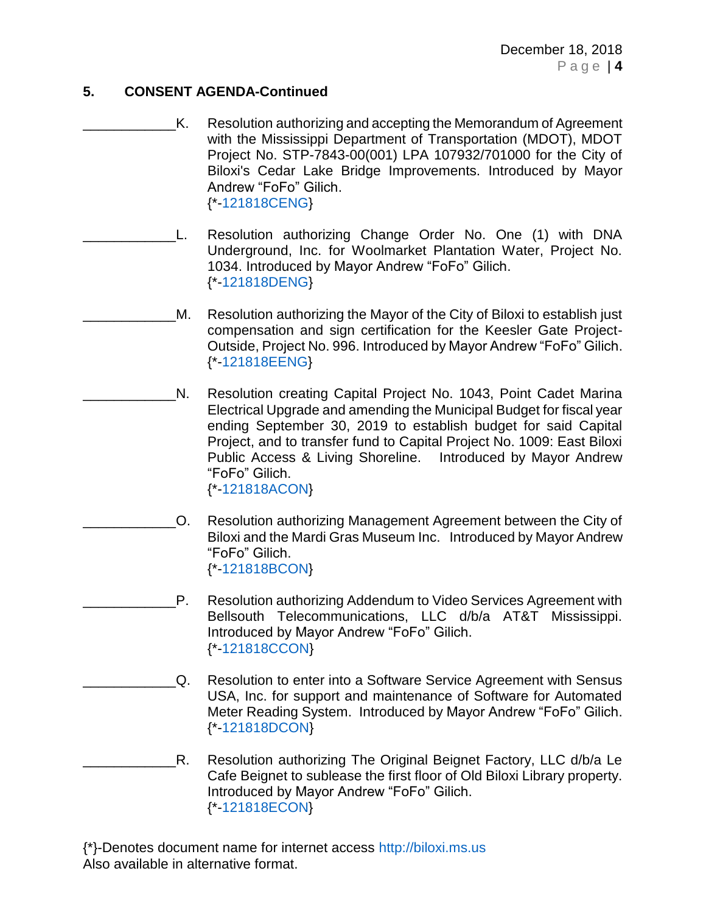## **5. CONSENT AGENDA-Continued**

- K. Resolution authorizing and accepting the Memorandum of Agreement with the Mississippi Department of Transportation (MDOT), MDOT Project No. STP-7843-00(001) LPA 107932/701000 for the City of Biloxi's Cedar Lake Bridge Improvements. Introduced by Mayor Andrew "FoFo" Gilich. {\*[-121818CENG}](https://www.biloxi.ms.us/agendas/citycouncil/2018/121818/121818ceng.pdf)
- L. Resolution authorizing Change Order No. One (1) with DNA Underground, Inc. for Woolmarket Plantation Water, Project No. 1034. Introduced by Mayor Andrew "FoFo" Gilich. {\*[-121818DENG}](https://www.biloxi.ms.us/agendas/citycouncil/2018/121818/121818deng.pdf)
	- M. Resolution authorizing the Mayor of the City of Biloxi to establish just compensation and sign certification for the Keesler Gate Project-Outside, Project No. 996. Introduced by Mayor Andrew "FoFo" Gilich. {\*[-121818EENG}](https://www.biloxi.ms.us/agendas/citycouncil/2018/121818/121818eeng.pdf)
	- N. Resolution creating Capital Project No. 1043, Point Cadet Marina Electrical Upgrade and amending the Municipal Budget for fiscal year ending September 30, 2019 to establish budget for said Capital Project, and to transfer fund to Capital Project No. 1009: East Biloxi Public Access & Living Shoreline. Introduced by Mayor Andrew "FoFo" Gilich. {\*[-121818ACON}](https://www.biloxi.ms.us/agendas/citycouncil/2018/121818/121818acon.pdf)
		- \_\_\_\_\_\_\_\_\_\_\_\_O. Resolution authorizing Management Agreement between the City of Biloxi and the Mardi Gras Museum Inc. Introduced by Mayor Andrew "FoFo" Gilich. {\*[-121818BCON}](https://www.biloxi.ms.us/agendas/citycouncil/2018/121818/121818bcon.pdf)
	- P. Resolution authorizing Addendum to Video Services Agreement with Bellsouth Telecommunications, LLC d/b/a AT&T Mississippi. Introduced by Mayor Andrew "FoFo" Gilich. {\*[-121818CCON}](https://www.biloxi.ms.us/agendas/citycouncil/2018/121818/121818ccon.pdf)
	- Q. Resolution to enter into a Software Service Agreement with Sensus USA, Inc. for support and maintenance of Software for Automated Meter Reading System. Introduced by Mayor Andrew "FoFo" Gilich. {\*[-121818DCON}](https://www.biloxi.ms.us/agendas/citycouncil/2018/121818/121818dcon.pdf)
- R. Resolution authorizing The Original Beignet Factory, LLC d/b/a Le Cafe Beignet to sublease the first floor of Old Biloxi Library property. Introduced by Mayor Andrew "FoFo" Gilich. {\*[-121818ECON}](https://www.biloxi.ms.us/agendas/citycouncil/2018/121818/121818econ.pdf)

{\*}-Denotes document name for internet access [http://biloxi.ms.us](http://biloxi.ms.us/) Also available in alternative format.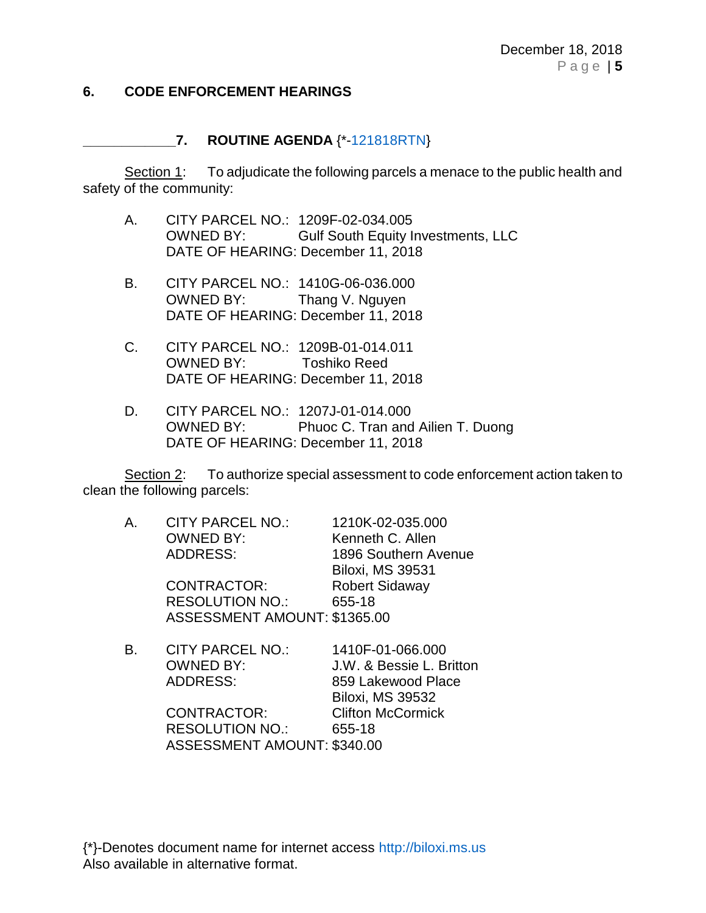#### **6. CODE ENFORCEMENT HEARINGS**

#### **\_\_\_\_\_\_\_\_\_\_\_\_7. ROUTINE AGENDA** {\*[-121818RTN}](https://www.biloxi.ms.us/agendas/citycouncil/2018/121818/121818rtn.pdf)

Section 1: To adjudicate the following parcels a menace to the public health and safety of the community:

- A. CITY PARCEL NO.: 1209F-02-034.005 OWNED BY: Gulf South Equity Investments, LLC DATE OF HEARING: December 11, 2018
- B. CITY PARCEL NO.: 1410G-06-036.000 OWNED BY: Thang V. Nguyen DATE OF HEARING: December 11, 2018
- C. CITY PARCEL NO.: 1209B-01-014.011 OWNED BY: Toshiko Reed DATE OF HEARING: December 11, 2018
- D. CITY PARCEL NO.: 1207J-01-014.000 OWNED BY: Phuoc C. Tran and Ailien T. Duong DATE OF HEARING: December 11, 2018

Section 2: To authorize special assessment to code enforcement action taken to clean the following parcels:

| А. | CITY PARCEL NO.:             | 1210K-02-035.000        |
|----|------------------------------|-------------------------|
|    | <b>OWNED BY:</b>             | Kenneth C. Allen        |
|    | <b>ADDRESS:</b>              | 1896 Southern Avenue    |
|    |                              | <b>Biloxi, MS 39531</b> |
|    | <b>CONTRACTOR:</b>           | <b>Robert Sidaway</b>   |
|    | <b>RESOLUTION NO.:</b>       | 655-18                  |
|    | ASSESSMENT AMOUNT: \$1365.00 |                         |
|    |                              |                         |

| В. | <b>CITY PARCEL NO.:</b>     | 1410F-01-066.000         |
|----|-----------------------------|--------------------------|
|    | <b>OWNED BY:</b>            | J.W. & Bessie L. Britton |
|    | ADDRESS:                    | 859 Lakewood Place       |
|    |                             | <b>Biloxi, MS 39532</b>  |
|    | <b>CONTRACTOR:</b>          | <b>Clifton McCormick</b> |
|    | <b>RESOLUTION NO.:</b>      | 655-18                   |
|    | ASSESSMENT AMOUNT: \$340.00 |                          |
|    |                             |                          |

{\*}-Denotes document name for internet access [http://biloxi.ms.us](http://biloxi.ms.us/) Also available in alternative format.